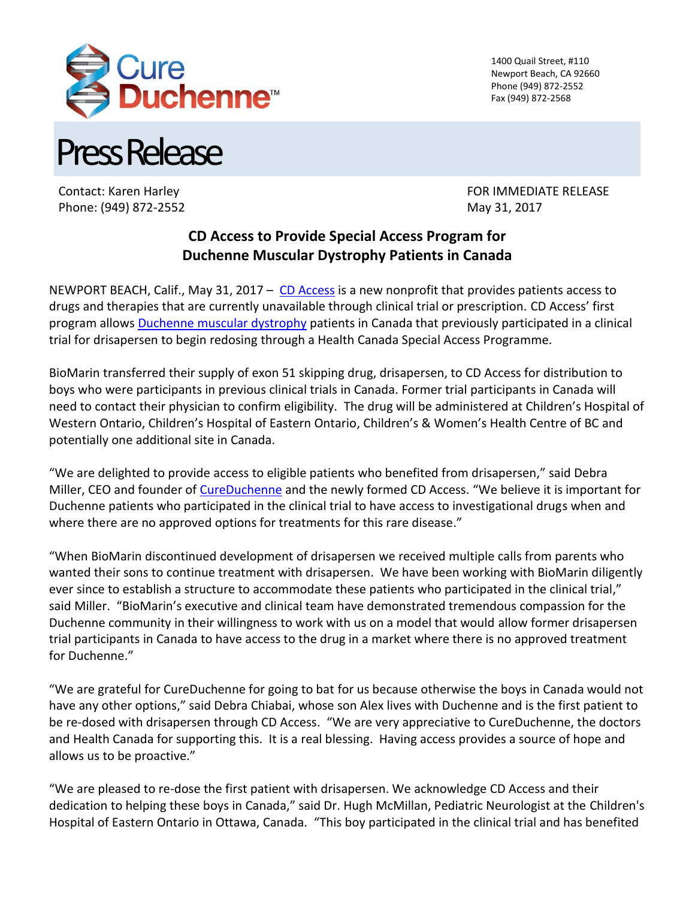

1400 Quail Street, #110 Newport Beach, CA 92660 Phone (949) 872-2552 Fax (949) 872-2568

Press Release

Phone: (949) 872-2552 May 31, 2017

Contact: Karen Harley FOR IMMEDIATE RELEASE

## **CD Access to Provide Special Access Program for Duchenne Muscular Dystrophy Patients in Canada**

NEWPORT BEACH, Calif., May 31, 2017 –  $CD$  Access is a new nonprofit that provides patients access to drugs and therapies that are currently unavailable through clinical trial or prescription. CD Access' first program allows [Duchenne muscular dystrophy](https://www.cureduchenne.org/about/what-is-duchenne/) patients in Canada that previously participated in a clinical trial for drisapersen to begin redosing through a Health Canada Special Access Programme.

BioMarin transferred their supply of exon 51 skipping drug, drisapersen, to CD Access for distribution to boys who were participants in previous clinical trials in Canada. Former trial participants in Canada will need to contact their physician to confirm eligibility. The drug will be administered at Children's Hospital of Western Ontario, Children's Hospital of Eastern Ontario, Children's & Women's Health Centre of BC and potentially one additional site in Canada.

"We are delighted to provide access to eligible patients who benefited from drisapersen," said Debra Miller, CEO and founder of [CureDuchenne](http://www.cureduchenne.org/) and the newly formed CD Access. "We believe it is important for Duchenne patients who participated in the clinical trial to have access to investigational drugs when and where there are no approved options for treatments for this rare disease."

"When BioMarin discontinued development of drisapersen we received multiple calls from parents who wanted their sons to continue treatment with drisapersen. We have been working with BioMarin diligently ever since to establish a structure to accommodate these patients who participated in the clinical trial," said Miller. "BioMarin's executive and clinical team have demonstrated tremendous compassion for the Duchenne community in their willingness to work with us on a model that would allow former drisapersen trial participants in Canada to have access to the drug in a market where there is no approved treatment for Duchenne."

"We are grateful for CureDuchenne for going to bat for us because otherwise the boys in Canada would not have any other options," said Debra Chiabai, whose son Alex lives with Duchenne and is the first patient to be re-dosed with drisapersen through CD Access. "We are very appreciative to CureDuchenne, the doctors and Health Canada for supporting this. It is a real blessing. Having access provides a source of hope and allows us to be proactive."

"We are pleased to re-dose the first patient with drisapersen. We acknowledge CD Access and their dedication to helping these boys in Canada," said Dr. Hugh McMillan, Pediatric Neurologist at the Children's Hospital of Eastern Ontario in Ottawa, Canada. "This boy participated in the clinical trial and has benefited